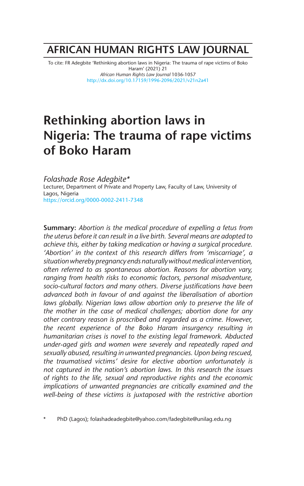# **AFRICAN HUMAN RIGHTS LAW JOURNAL**

To cite: FR Adegbite 'Rethinking abortion laws in Nigeria: The trauma of rape victims of Boko Haram' (2021) 21 *African Human Rights Law Journal* 1036-1057 http://dx.doi.org/10.17159/1996-2096/2021/v21n2a41

# **Rethinking abortion laws in Nigeria: The trauma of rape victims of Boko Haram**

*Folashade Rose Adegbite\** Lecturer, Department of Private and Property Law, Faculty of Law, University of Lagos, Nigeria https://orcid.org/0000-0002-2411-7348

**Summary:** *Abortion is the medical procedure of expelling a fetus from the uterus before it can result in a live birth. Several means are adopted to achieve this, either by taking medication or having a surgical procedure. 'Abortion' in the context of this research differs from 'miscarriage', a situation whereby pregnancy ends naturally without medical intervention, often referred to as spontaneous abortion. Reasons for abortion vary, ranging from health risks to economic factors, personal misadventure, socio-cultural factors and many others. Diverse justifications have been advanced both in favour of and against the liberalisation of abortion*  laws globally. Nigerian laws allow abortion only to preserve the life of *the mother in the case of medical challenges; abortion done for any other contrary reason is proscribed and regarded as a crime. However, the recent experience of the Boko Haram insurgency resulting in humanitarian crises is novel to the existing legal framework. Abducted under-aged girls and women were severely and repeatedly raped and sexually abused, resulting in unwanted pregnancies. Upon being rescued, the traumatised victims' desire for elective abortion unfortunately is not captured in the nation's abortion laws. In this research the issues of rights to the life, sexual and reproductive rights and the economic implications of unwanted pregnancies are critically examined and the well-being of these victims is juxtaposed with the restrictive abortion*

PhD (Lagos); folashadeadegbite@yahoo.com/fadegbite@unilag.edu.ng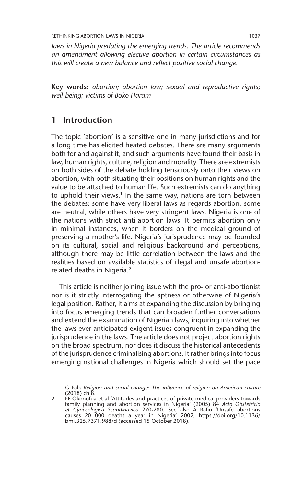*laws in Nigeria predating the emerging trends. The article recommends an amendment allowing elective abortion in certain circumstances as this will create a new balance and reflect positive social change.*

**Key words:** *abortion; abortion law; sexual and reproductive rights; well-being; victims of Boko Haram*

# **1 Introduction**

The topic 'abortion' is a sensitive one in many jurisdictions and for a long time has elicited heated debates. There are many arguments both for and against it, and such arguments have found their basis in law, human rights, culture, religion and morality. There are extremists on both sides of the debate holding tenaciously onto their views on abortion, with both situating their positions on human rights and the value to be attached to human life. Such extremists can do anything to uphold their views.<sup>1</sup> In the same way, nations are torn between the debates; some have very liberal laws as regards abortion, some are neutral, while others have very stringent laws. Nigeria is one of the nations with strict anti-abortion laws. It permits abortion only in minimal instances, when it borders on the medical ground of preserving a mother's life. Nigeria's jurisprudence may be founded on its cultural, social and religious background and perceptions, although there may be little correlation between the laws and the realities based on available statistics of illegal and unsafe abortionrelated deaths in Nigeria.<sup>2</sup>

This article is neither joining issue with the pro- or anti-abortionist nor is it strictly interrogating the aptness or otherwise of Nigeria's legal position. Rather, it aims at expanding the discussion by bringing into focus emerging trends that can broaden further conversations and extend the examination of Nigerian laws, inquiring into whether the laws ever anticipated exigent issues congruent in expanding the jurisprudence in the laws. The article does not project abortion rights on the broad spectrum, nor does it discuss the historical antecedents of the jurisprudence criminalising abortions. It rather brings into focus emerging national challenges in Nigeria which should set the pace

<sup>1</sup> G Falk *Religion and social change: The influence of religion on American culture* (2018) ch 8. 2 FE Okonofua et al 'Attitudes and practices of private medical providers towards

family planning and abortion services in Nigeria' (2005) 84 *Acta Obstetricia et Gynecologica Scandinavica* 270-280. See also A Rafiu 'Unsafe abortions causes 20 000 deaths a year in Nigeria' 2002, https://doi.org/10.1136/ bmj.325.7371.988/d (accessed 15 October 2018).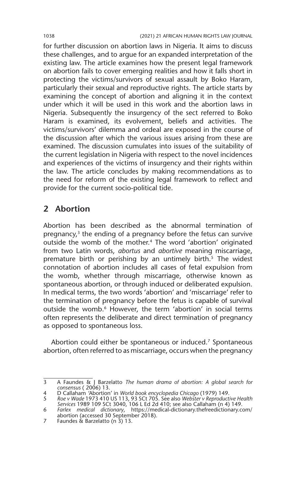for further discussion on abortion laws in Nigeria. It aims to discuss these challenges, and to argue for an expanded interpretation of the existing law. The article examines how the present legal framework on abortion fails to cover emerging realities and how it falls short in protecting the victims/survivors of sexual assault by Boko Haram, particularly their sexual and reproductive rights. The article starts by examining the concept of abortion and aligning it in the context under which it will be used in this work and the abortion laws in Nigeria. Subsequently the insurgency of the sect referred to Boko Haram is examined, its evolvement, beliefs and activities. The victims/survivors' dilemma and ordeal are exposed in the course of the discussion after which the various issues arising from these are examined. The discussion cumulates into issues of the suitability of the current legislation in Nigeria with respect to the novel incidences and experiences of the victims of insurgency and their rights within the law. The article concludes by making recommendations as to the need for reform of the existing legal framework to reflect and provide for the current socio-political tide.

# **2 Abortion**

Abortion has been described as the abnormal termination of pregnancy,<sup>3</sup> the ending of a pregnancy before the fetus can survive outside the womb of the mother.4 The word 'abortion' originated from two Latin words, *abortus* and *abortive* meaning miscarriage, premature birth or perishing by an untimely birth.<sup>5</sup> The widest connotation of abortion includes all cases of fetal expulsion from the womb, whether through miscarriage, otherwise known as spontaneous abortion, or through induced or deliberated expulsion. In medical terms, the two words 'abortion' and 'miscarriage' refer to the termination of pregnancy before the fetus is capable of survival outside the womb.<sup>6</sup> However, the term 'abortion' in social terms often represents the deliberate and direct termination of pregnancy as opposed to spontaneous loss.

Abortion could either be spontaneous or induced.<sup>7</sup> Spontaneous abortion, often referred to as miscarriage, occurs when the pregnancy

<sup>3</sup> A Faundes & J Barzelatto *The human drama of abortion: A global search for consensus* ( 2006) 13.

<sup>4</sup> D Callaham 'Abortion' in World book encyclopedia Chicago (1979) 149.<br>5 Roe v Wade 1973 410 US 113, 93 SCt 705. See also Webster v Reproductive Health<br>1999 Services 1989 109 SCt 3040, 106 L Ed 2d 410; see also Callaham (n

<sup>6</sup> *Farlex medical dictionary*, https://medical-dictionary.thefreedictionary.com/ abortion (accessed 30 September 2018).

<sup>7</sup> Faundes & Barzelatto (n 3) 13.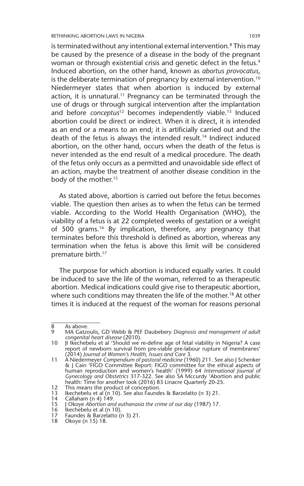is terminated without any intentional external intervention.<sup>8</sup> This may be caused by the presence of a disease in the body of the pregnant woman or through existential crisis and genetic defect in the fetus.<sup>9</sup> Induced abortion, on the other hand, known as *abortus provocatus*, is the deliberate termination of pregnancy by external intervention.<sup>10</sup> Niedermeyer states that when abortion is induced by external action, it is unnatural.<sup>11</sup> Pregnancy can be terminated through the use of drugs or through surgical intervention after the implantation and before *conceptus*<sup>12</sup> becomes independently viable.<sup>13</sup> Induced abortion could be direct or indirect. When it is direct, it is intended as an end or a means to an end; it is artificially carried out and the death of the fetus is always the intended result.<sup>14</sup> Indirect induced abortion, on the other hand, occurs when the death of the fetus is never intended as the end result of a medical procedure. The death of the fetus only occurs as a permitted and unavoidable side effect of an action, maybe the treatment of another disease condition in the body of the mother.<sup>15</sup>

As stated above, abortion is carried out before the fetus becomes viable. The question then arises as to when the fetus can be termed viable. According to the World Health Organisation (WHO), the viability of a fetus is at 22 completed weeks of gestation or a weight of 500 grams.16 By implication, therefore, any pregnancy that terminates before this threshold is defined as abortion, whereas any termination when the fetus is above this limit will be considered premature birth.<sup>17</sup>

The purpose for which abortion is induced equally varies. It could be induced to save the life of the woman, referred to as therapeutic abortion. Medical indications could give rise to therapeutic abortion, where such conditions may threaten the life of the mother.<sup>18</sup> At other times it is induced at the request of the woman for reasons personal

<sup>8</sup> As above.

<sup>9</sup> MA Gatzoulis, GD Webb & PEF Daubebery *Diagnosis and management of adult congenital heart disease* (2010).

<sup>10</sup> JI Ikechebelu et al 'Should we re-define age of fetal viability in Nigeria? A case report of newborn survival from pre-viable pre-labour rupture of membranes' (2014) *Journal of Women's Health, Issues and Care* 3.

<sup>11</sup> A Niedermeyer *Compendium of pastoral medicine* (1960) 211. See also J Schenker & J Cain 'FIGO Committee Report: FIGO committee for the ethical aspects of human reproduction and women's health' (1999) 64 *International Journal of Gynecology and Obstetrics* 317-322. See also SA Mccurdy 'Abortion and public health: Time for another look (2016) 83 Linacre Quarterly 20-25.

<sup>12</sup> This means the product of conception.<br>13 Ikechebelu et al (n 10). See also Faund

<sup>13</sup> Ikechebelu et al (n 10). See also Faundes & Barzelatto (n 3) 21.<br>14 ICallaham (n 4) 149.

<sup>14</sup> Callaham (n 4)  $149$ .<br>15 I Okove Abortion and

<sup>15</sup> J Okoye *Abortion and euthanasia the crime of our day* (1987) 17.

<sup>16</sup> Ikechebelu et al (n 10).

<sup>17</sup> Faundes & Barzelatto (n 3) 21.

<sup>18</sup> Okoye (n 15) 18.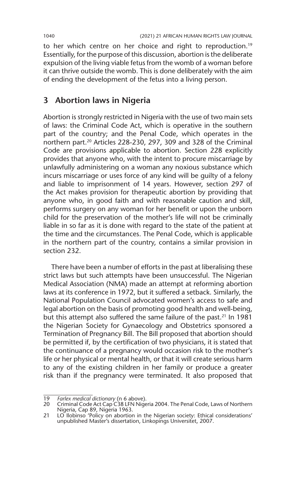to her which centre on her choice and right to reproduction.<sup>19</sup> Essentially, for the purpose of this discussion, abortion is the deliberate expulsion of the living viable fetus from the womb of a woman before it can thrive outside the womb. This is done deliberately with the aim of ending the development of the fetus into a living person.

# **3 Abortion laws in Nigeria**

Abortion is strongly restricted in Nigeria with the use of two main sets of laws: the Criminal Code Act, which is operative in the southern part of the country; and the Penal Code, which operates in the northern part.20 Articles 228-230, 297, 309 and 328 of the Criminal Code are provisions applicable to abortion. Section 228 explicitly provides that anyone who, with the intent to procure miscarriage by unlawfully administering on a woman any noxious substance which incurs miscarriage or uses force of any kind will be guilty of a felony and liable to imprisonment of 14 years. However, section 297 of the Act makes provision for therapeutic abortion by providing that anyone who, in good faith and with reasonable caution and skill, performs surgery on any woman for her benefit or upon the unborn child for the preservation of the mother's life will not be criminally liable in so far as it is done with regard to the state of the patient at the time and the circumstances. The Penal Code, which is applicable in the northern part of the country, contains a similar provision in section 232.

There have been a number of efforts in the past at liberalising these strict laws but such attempts have been unsuccessful. The Nigerian Medical Association (NMA) made an attempt at reforming abortion laws at its conference in 1972, but it suffered a setback. Similarly, the National Population Council advocated women's access to safe and legal abortion on the basis of promoting good health and well-being, but this attempt also suffered the same failure of the past.<sup>21</sup> In 1981 the Nigerian Society for Gynaecology and Obstetrics sponsored a Termination of Pregnancy Bill. The Bill proposed that abortion should be permitted if, by the certification of two physicians, it is stated that the continuance of a pregnancy would occasion risk to the mother's life or her physical or mental health, or that it will create serious harm to any of the existing children in her family or produce a greater risk than if the pregnancy were terminated. It also proposed that

<sup>19</sup> *Farlex medical dictionary* (n 6 above).

<sup>20</sup> Criminal Code Act Cap C38 LFN Nigeria 2004. The Penal Code, Laws of Northern Nigeria, Cap 89, Nigeria 1963.

<sup>21</sup> LO Ilobinso 'Policy on abortion in the Nigerian society: Ethical considerations' unpublished Master's dissertation, Linkopings Universitet, 2007.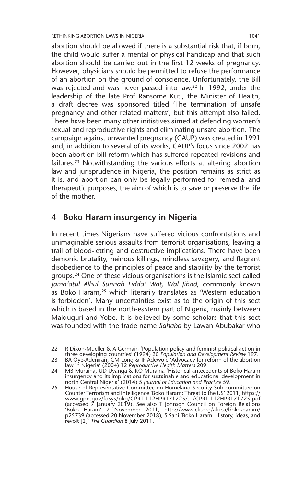abortion should be allowed if there is a substantial risk that, if born, the child would suffer a mental or physical handicap and that such abortion should be carried out in the first 12 weeks of pregnancy. However, physicians should be permitted to refuse the performance of an abortion on the ground of conscience. Unfortunately, the Bill was rejected and was never passed into law.22 In 1992, under the leadership of the late Prof Ransome Kuti, the Minister of Health, a draft decree was sponsored titled 'The termination of unsafe pregnancy and other related matters', but this attempt also failed. There have been many other initiatives aimed at defending women's sexual and reproductive rights and eliminating unsafe abortion. The campaign against unwanted pregnancy (CAUP) was created in 1991 and, in addition to several of its works, CAUP's focus since 2002 has been abortion bill reform which has suffered repeated revisions and failures.23 Notwithstanding the various efforts at altering abortion law and jurisprudence in Nigeria, the position remains as strict as it is, and abortion can only be legally performed for remedial and therapeutic purposes, the aim of which is to save or preserve the life of the mother.

# **4 Boko Haram insurgency in Nigeria**

In recent times Nigerians have suffered vicious confrontations and unimaginable serious assaults from terrorist organisations, leaving a trail of blood-letting and destructive implications. There have been demonic brutality, heinous killings, mindless savagery, and flagrant disobedience to the principles of peace and stability by the terrorist groups.24 One of these vicious organisations is the Islamic sect called *Jama'atul Alhul Sunnah Lidda' Wat, Wal Jihad*, commonly known as Boko Haram,<sup>25</sup> which literarily translates as 'Western education is forbidden'. Many uncertainties exist as to the origin of this sect which is based in the north-eastern part of Nigeria, mainly between Maiduguri and Yobe. It is believed by some scholars that this sect was founded with the trade name *Sahaba* by Lawan Abubakar who

<sup>22</sup> R Dixon-Mueller & A Germain 'Population policy and feminist political action in three developing countries' (1994) 20 *Population and Development Review* 197.

<sup>23</sup> BA Oye-Adeniran, CM Long & IF Adewole 'Advocacy for reform of the abortion law in Nigeria' (2004) 12 *Reproductive Health Matters* 209.

<sup>24</sup> MB Muraina, UD Uyanga & KO Muraina 'Historical antecedents of Boko Haram insurgency and its implications for sustainable and educational development in north Central Nigeria' (2014) 5 *Journal of Education and Practice* 59.

<sup>25</sup> House of Representative Committee on Homeland Security Sub-committee on Counter Terrorism and Intelligence 'Boko Haram: Threat to the US' 2011, https:// www.gpo.gov/fdsys/pkg/CPRT-112HPRT71725/.../CPRT-112HPRT71725.pdf (accessed 7 January 2019). See also T Johnson Council on Foreign Relations 'Boko Haram' 7 November 2011, http://www.cfr.org/africa/boko-haram/ p25739 (accessed 20 November 2018); S Sani 'Boko Haram: History, ideas, and revolt [2]' *The Guardian* 8 July 2011.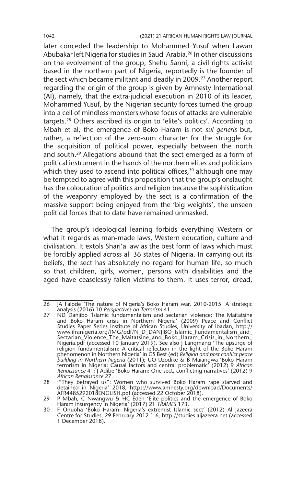later conceded the leadership to Mohammed Yusuf when Lawan Abubakar left Nigeria for studies in Saudi Arabia.26 In other discussions on the evolvement of the group, Shehu Sanni, a civil rights activist based in the northern part of Nigeria, reportedly is the founder of the sect which became militant and deadly in 2009.<sup>27</sup> Another report regarding the origin of the group is given by Amnesty International (AI), namely, that the extra-judicial execution in 2010 of its leader, Mohammed Yusuf, by the Nigerian security forces turned the group into a cell of mindless monsters whose focus of attacks are vulnerable targets.28 Others ascribed its origin to 'elite's politics'. According to Mbah et al, the emergence of Boko Haram is not *sui generis* but, rather, a reflection of the zero-sum character for the struggle for the acquisition of political power, especially between the north and south.29 Allegations abound that the sect emerged as a form of political instrument in the hands of the northern elites and politicians which they used to ascend into political offices,  $30$  although one may be tempted to agree with this proposition that the group's onslaught has the colouration of politics and religion because the sophistication of the weaponry employed by the sect is a confirmation of the massive support being enjoyed from the 'big weights', the unseen political forces that to date have remained unmasked.

The group's ideological leaning forbids everything Western or what it regards as man-made laws, Western education, culture and civilisation. It extols Shari'a law as the best form of laws which must be forcibly applied across all 36 states of Nigeria. In carrying out its beliefs, the sect has absolutely no regard for human life, so much so that children, girls, women, persons with disabilities and the aged have ceaselessly fallen victims to them. It uses terror, dread,

<sup>26</sup> JA Falode 'The nature of Nigeria's Boko Haram war, 2010-2015: A strategic analysis (2016) 10 *Perspectives on Terrorism* 41*.*

<sup>27</sup> ND Danjibo 'Islamic fundamentalism and sectarian violence: The Maitatsine and Boko Haram crisis in Northern Nigeria' (2009) Peace and Conflict Studies Paper Series Institute of African Studies, University of Ibadan, http:// www.ifranigeria.org/IMG/pdf/N\_D\_DANJIBO\_Islamic\_Fundamentalism\_and\_ Sectarian\_Violence\_The\_Maitatsine\_and\_Boko\_Haram\_Crisis\_in\_Northern\_ Nigeria.pdf (accessed 10 January 2019). See also J Langmang 'The upsurge of religion fundamentalism: A critical reflection in the light of the Boko Haram phenomenon in Northern Nigeria' in GS Best (ed) *Religion and post conflict peace building in Northern Nigeria* (2011); UO Uzodike & B Maiangwa 'Boko Haram terrorism in Nigeria: Causal factors and central problematic' (2012) 9 *African Renaissance* 41; J Adibe 'Boko Haram: One sect, conflicting narratives' (2012) 9 *African Renaissance* 27.

<sup>28</sup> '"They betrayed us": Women who survived Boko Haram rape starved and detained in Nigeria' 2018, https://www.amnesty.org/download/Documents/

AFR4485292018ENGLISH.pdf (accessed 22 October 2018). 29 P Mbah, C Nwangwu & HC Edeh 'Elite politics and the emergence of Boko Haram insurgency in Nigeria' (2017) 21 *TRAMES* 173.

<sup>30</sup> F Onuoha 'Boko Haram: Nigeria's extremist Islamic sect' (2012) Al Jazeera Centre for Studies, 29 February 2012 1-6, http://studies.aljazeera.net (accessed 1 December 2018).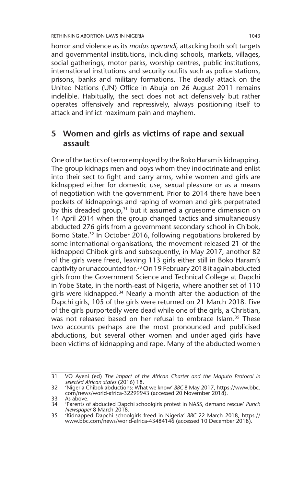horror and violence as its *modus operandi*, attacking both soft targets and governmental institutions, including schools, markets, villages, social gatherings, motor parks, worship centres, public institutions, international institutions and security outfits such as police stations, prisons, banks and military formations. The deadly attack on the United Nations (UN) Office in Abuja on 26 August 2011 remains indelible. Habitually, the sect does not act defensively but rather operates offensively and repressively, always positioning itself to attack and inflict maximum pain and mayhem.

# **5 Women and girls as victims of rape and sexual assault**

One of the tactics of terror employed by the Boko Haram is kidnapping. The group kidnaps men and boys whom they indoctrinate and enlist into their sect to fight and carry arms, while women and girls are kidnapped either for domestic use, sexual pleasure or as a means of negotiation with the government. Prior to 2014 there have been pockets of kidnappings and raping of women and girls perpetrated by this dreaded group,<sup>31</sup> but it assumed a gruesome dimension on 14 April 2014 when the group changed tactics and simultaneously abducted 276 girls from a government secondary school in Chibok, Borno State.<sup>32</sup> In October 2016, following negotiations brokered by some international organisations, the movement released 21 of the kidnapped Chibok girls and subsequently, in May 2017, another 82 of the girls were freed, leaving 113 girls either still in Boko Haram's captivity or unaccounted for.33 On 19 February 2018 it again abducted girls from the Government Science and Technical College at Dapchi in Yobe State, in the north-east of Nigeria, where another set of 110 girls were kidnapped.<sup>34</sup> Nearly a month after the abduction of the Dapchi girls, 105 of the girls were returned on 21 March 2018. Five of the girls purportedly were dead while one of the girls, a Christian, was not released based on her refusal to embrace Islam.<sup>35</sup> These two accounts perhaps are the most pronounced and publicised abductions, but several other women and under-aged girls have been victims of kidnapping and rape. Many of the abducted women

<sup>31</sup> VO Ayeni (ed) *The impact of the African Charter and the Maputo Protocol in selected African states* (2016) 18.

<sup>32</sup> 'Nigeria Chibok abductions: What we know' *BBC* 8 May 2017, https://www.bbc. com/news/world-africa-32299943 (accessed 20 November 2018).

<sup>33</sup> As above.<br>34 *'*Parents o

<sup>34</sup> 'Parents of abducted Dapchi schoolgirls protest in NASS, demand rescue' *Punch Newspaper* 8 March 2018.

<sup>35</sup> 'Kidnapped Dapchi schoolgirls freed in Nigeria' *BBC* 22 March 2018, https:// www.bbc.com/news/world-africa-43484146 (accessed 10 December 2018).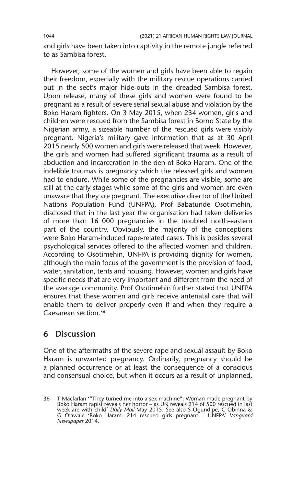and girls have been taken into captivity in the remote jungle referred to as Sambisa forest.

However, some of the women and girls have been able to regain their freedom, especially with the military rescue operations carried out in the sect's major hide-outs in the dreaded Sambisa forest. Upon release, many of these girls and women were found to be pregnant as a result of severe serial sexual abuse and violation by the Boko Haram fighters. On 3 May 2015, when 234 women, girls and children were rescued from the Sambisa forest in Borno State by the Nigerian army, a sizeable number of the rescued girls were visibly pregnant. Nigeria's military gave information that as at 30 April 2015 nearly 500 women and girls were released that week. However, the girls and women had suffered significant trauma as a result of abduction and incarceration in the den of Boko Haram. One of the indelible traumas is pregnancy which the released girls and women had to endure. While some of the pregnancies are visible, some are still at the early stages while some of the girls and women are even unaware that they are pregnant. The executive director of the United Nations Population Fund (UNFPA), Prof Babatunde Osotimehin, disclosed that in the last year the organisation had taken deliveries of more than 16 000 pregnancies in the troubled north-eastern part of the country. Obviously, the majority of the conceptions were Boko Haram-induced rape-related cases. This is besides several psychological services offered to the affected women and children. According to Osotimehin, UNFPA is providing dignity for women, although the main focus of the government is the provision of food, water, sanitation, tents and housing. However, women and girls have specific needs that are very important and different from the need of the average community. Prof Osotimehin further stated that UNFPA ensures that these women and girls receive antenatal care that will enable them to deliver properly even if and when they require a Caesarean section.36

# **6 Discussion**

One of the aftermaths of the severe rape and sexual assault by Boko Haram is unwanted pregnancy. Ordinarily, pregnancy should be a planned occurrence or at least the consequence of a conscious and consensual choice, but when it occurs as a result of unplanned,

 $\overline{36}$  T Macfarlan "They turned me into a sex machine": Woman made pregnant by Boko Haram rapist reveals her horror – as UN reveals 214 of 500 rescued in last week are with child' *Daily Mail* May 2015. See also S Ogundipe, C Obinna & G Olawale 'Boko Haram: 214 rescued girls pregnant – UNFPA' *Vanguard Newspaper* 2014*.*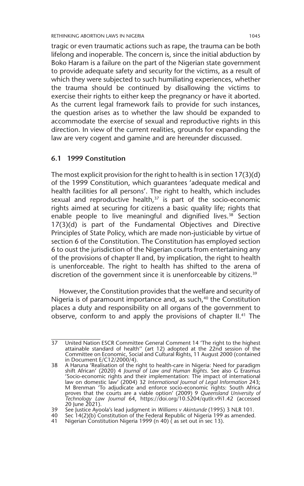tragic or even traumatic actions such as rape, the trauma can be both lifelong and inoperable. The concern is, since the initial abduction by Boko Haram is a failure on the part of the Nigerian state government to provide adequate safety and security for the victims, as a result of which they were subjected to such humiliating experiences, whether the trauma should be continued by disallowing the victims to exercise their rights to either keep the pregnancy or have it aborted. As the current legal framework fails to provide for such instances, the question arises as to whether the law should be expanded to accommodate the exercise of sexual and reproductive rights in this direction. In view of the current realities, grounds for expanding the law are very cogent and gamine and are hereunder discussed.

#### **6.1 1999 Constitution**

The most explicit provision for the right to health is in section 17(3)(d) of the 1999 Constitution, which guarantees 'adequate medical and health facilities for all persons'. The right to health, which includes sexual and reproductive health, $37$  is part of the socio-economic rights aimed at securing for citizens a basic quality life; rights that enable people to live meaningful and dignified lives.<sup>38</sup> Section 17(3)(d) is part of the Fundamental Objectives and Directive Principles of State Policy, which are made non-justiciable by virtue of section 6 of the Constitution. The Constitution has employed section 6 to oust the jurisdiction of the Nigerian courts from entertaining any of the provisions of chapter II and, by implication, the right to health is unenforceable. The right to health has shifted to the arena of discretion of the government since it is unenforceable by citizens.<sup>39</sup>

However, the Constitution provides that the welfare and security of Nigeria is of paramount importance and, as such,<sup>40</sup> the Constitution places a duty and responsibility on all organs of the government to observe, conform to and apply the provisions of chapter II.<sup>41</sup> The

<sup>37</sup> United Nation ESCR Committee General Comment 14 'The right to the highest attainable standard of health'' (art 12) adopted at the 22nd session of the Committee on Economic, Social and Cultural Rights, 11 August 2000 (contained in Document E/C12/2000/4).

<sup>38</sup> A Haruna 'Realisation of the right to health-care in Nigeria: Need for paradigm shift African' (2020) 4 *Journal of Law and Human Rights*. See also G Erasmus 'Socio-economic rights and their implementation: The impact of international law on domestic law' (2004) 32 *International Journal of Legal Information* 243; M Brenman 'To adjudicate and enforce socio-economic rights: South Africa proves that the courts are a viable option' (2009) 9 *Queensland University of Technology Law Journal* 64, https://doi.org/10.5204/qutlr.v9i1.42 (accessed 20 June 2021).

<sup>39</sup> See Justice Ayoola's lead judgment in *Williams v Akintunde* (1995) 3 NLR 101.

<sup>40</sup> Sec 14(2)(b) Constitution of the Federal Republic of Nigeria 199 as amended.

<sup>41</sup> Nigerian Constitution Nigeria 1999 (n 40) ( as set out in sec 13).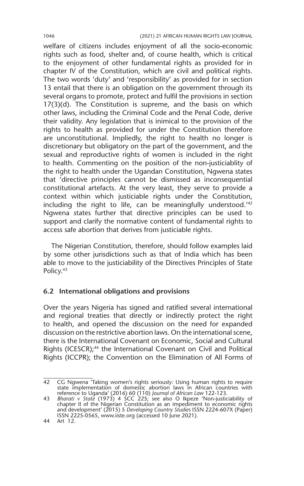welfare of citizens includes enjoyment of all the socio-economic rights such as food, shelter and, of course health, which is critical to the enjoyment of other fundamental rights as provided for in chapter IV of the Constitution, which are civil and political rights. The two words 'duty' and 'responsibility' as provided for in section 13 entail that there is an obligation on the government through its several organs to promote, protect and fulfil the provisions in section 17(3)(d). The Constitution is supreme, and the basis on which other laws, including the Criminal Code and the Penal Code, derive their validity. Any legislation that is inimical to the provision of the rights to health as provided for under the Constitution therefore are unconstitutional. Impliedly, the right to health no longer is discretionary but obligatory on the part of the government, and the sexual and reproductive rights of women is included in the right to health. Commenting on the position of the non-justiciablity of the right to health under the Ugandan Constitution, Ngwena states that 'directive principles cannot be dismissed as inconsequential constitutional artefacts. At the very least, they serve to provide a context within which justiciable rights under the Constitution, including the right to life, can be meaningfully understood.'42 Ngwena states further that directive principles can be used to support and clarify the normative content of fundamental rights to access safe abortion that derives from justiciable rights.

The Nigerian Constitution, therefore, should follow examples laid by some other jurisdictions such as that of India which has been able to move to the justiciability of the Directives Principles of State Policy.<sup>43</sup>

#### **6.2 International obligations and provisions**

Over the years Nigeria has signed and ratified several international and regional treaties that directly or indirectly protect the right to health, and opened the discussion on the need for expanded discussion on the restrictive abortion laws. On the international scene, there is the International Covenant on Economic, Social and Cultural Rights (ICESCR);<sup>44</sup> the International Covenant on Civil and Political Rights (ICCPR); the Convention on the Elimination of All Forms of

<sup>42</sup> CG Ngwena 'Taking women's rights seriously: Using human rights to require state implementation of domestic abortion laws in African countries with

reference to Uganda' (2016) 60 (110) Journal of African Law 122-123.<br>43 Bharati v State (1973) 4 SCC 225; see also O Ikpeze 'Non-justiciability of<br>chapter II of the Nigerian Constitution as an impediment to economic rights and development' (2015) 5 *Developing Country Studies* ISSN 2224-607X (Paper) ISSN 2225-0565, www.iiste.org (accessed 10 June 2021).

<sup>44</sup> Art 12.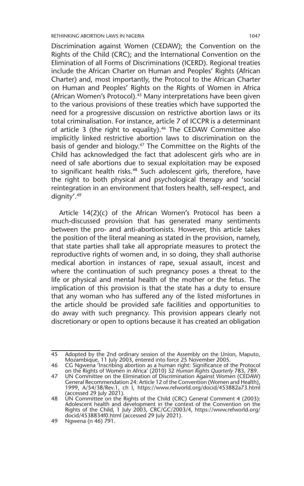Discrimination against Women (CEDAW); the Convention on the Rights of the Child (CRC); and the International Convention on the Elimination of all Forms of Discriminations (ICERD). Regional treaties include the African Charter on Human and Peoples' Rights (African Charter) and, most importantly, the Protocol to the African Charter on Human and Peoples' Rights on the Rights of Women in Africa (African Women's Protocol).45 Many interpretations have been given to the various provisions of these treaties which have supported the need for a progressive discussion on restrictive abortion laws or its total criminalisation. For instance, article 7 of ICCPR is a determinant of article 3 (the right to equality).<sup>46</sup> The CEDAW Committee also implicitly linked restrictive abortion laws to discrimination on the basis of gender and biology.47 The Committee on the Rights of the Child has acknowledged the fact that adolescent girls who are in need of safe abortions due to sexual exploitation may be exposed to significant health risks.<sup>48</sup> Such adolescent girls, therefore, have the right to both physical and psychological therapy and 'social reintegration in an environment that fosters health, self-respect, and dignity'.49

Article 14(2)(c) of the African Women's Protocol has been a much-discussed provision that has generated many sentiments between the pro- and anti-abortionists. However, this article takes the position of the literal meaning as stated in the provision, namely, that state parties shall take all appropriate measures to protect the reproductive rights of women and, in so doing, they shall authorise medical abortion in instances of rape, sexual assault, incest and where the continuation of such pregnancy poses a threat to the life or physical and mental health of the mother or the fetus. The implication of this provision is that the state has a duty to ensure that any woman who has suffered any of the listed misfortunes in the article should be provided safe facilities and opportunities to do away with such pregnancy. This provision appears clearly not discretionary or open to options because it has created an obligation

<sup>45</sup> Adopted by the 2nd ordinary session of the Assembly on the Union, Maputo, Mozambique, 11 July 2003, entered into force 25 November 2005.

<sup>46</sup> CG Ngwena 'Inscribing abortion as a human right: Significance of the Protocol on the Rights of Women in Africa' (2010) 32 *Human Rights Quarterly* 783, 789.

<sup>47</sup> UN Committee on the Elimination of Discrimination Against Women (CEDAW) General Recommendation 24: Article 12 of the Convention (Women and Health), 1999, A/54/38/Rev.1, ch I, https://www.refworld.org/docid/453882a73.html

<sup>(</sup>accessed 29 July 2021). 48 UN Committee on the Rights of the Child (CRC) General Comment 4 (2003): Adolescent health and development in the context of the Convention on the Rights of the Child, 1 July 2003, CRC/GC/2003/4, https://www.refworld.org/ docid/4538834f0.html (accessed 29 July 2021).

<sup>49</sup> Ngwena (n 46) 791.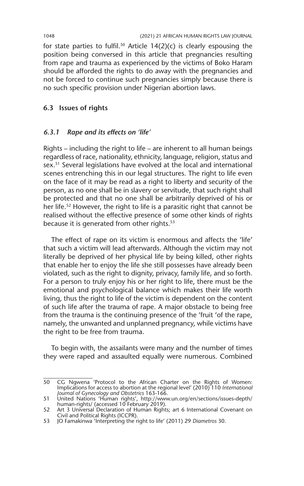for state parties to fulfil.<sup>50</sup> Article  $14(2)(c)$  is clearly espousing the position being conversed in this article that pregnancies resulting from rape and trauma as experienced by the victims of Boko Haram should be afforded the rights to do away with the pregnancies and not be forced to continue such pregnancies simply because there is no such specific provision under Nigerian abortion laws.

## **6.3 Issues of rights**

#### *6.3.1 Rape and its effects on 'life'*

Rights – including the right to life – are inherent to all human beings regardless of race, nationality, ethnicity, language, religion, status and sex.51 Several legislations have evolved at the local and international scenes entrenching this in our legal structures. The right to life even on the face of it may be read as a right to liberty and security of the person, as no one shall be in slavery or servitude, that such right shall be protected and that no one shall be arbitrarily deprived of his or her life.<sup>52</sup> However, the right to life is a parasitic right that cannot be realised without the effective presence of some other kinds of rights because it is generated from other rights.<sup>53</sup>

The effect of rape on its victim is enormous and affects the 'life' that such a victim will lead afterwards. Although the victim may not literally be deprived of her physical life by being killed, other rights that enable her to enjoy the life she still possesses have already been violated, such as the right to dignity, privacy, family life, and so forth. For a person to truly enjoy his or her right to life, there must be the emotional and psychological balance which makes their life worth living, thus the right to life of the victim is dependent on the content of such life after the trauma of rape. A major obstacle to being free from the trauma is the continuing presence of the 'fruit 'of the rape, namely, the unwanted and unplanned pregnancy, while victims have the right to be free from trauma.

To begin with, the assailants were many and the number of times they were raped and assaulted equally were numerous. Combined

<sup>50</sup> CG Ngwena 'Protocol to the African Charter on the Rights of Women: Implications for access to abortion at the regional level' (2010) 110 *International* 

*Journal of Gynecology and Obstetrics* 163-166. 51 United Nations 'Human rights', http://www.un.org/en/sections/issues-depth/ human-rights/ (accessed 10 February 2019).

<sup>52</sup> Art 3 Universal Declaration of Human Rights; art 6 International Covenant on Civil and Political Rights (ICCPR).

<sup>53</sup> JO Famakinwa 'Interpreting the right to life' (2011) 29 *Diametros* 30.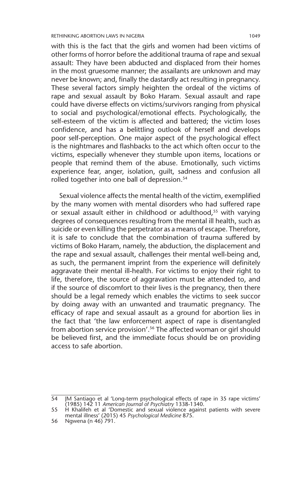with this is the fact that the girls and women had been victims of other forms of horror before the additional trauma of rape and sexual assault: They have been abducted and displaced from their homes in the most gruesome manner; the assailants are unknown and may never be known; and, finally the dastardly act resulting in pregnancy. These several factors simply heighten the ordeal of the victims of rape and sexual assault by Boko Haram. Sexual assault and rape could have diverse effects on victims/survivors ranging from physical to social and psychological/emotional effects. Psychologically, the self-esteem of the victim is affected and battered; the victim loses confidence, and has a belittling outlook of herself and develops poor self-perception. One major aspect of the psychological effect is the nightmares and flashbacks to the act which often occur to the victims, especially whenever they stumble upon items, locations or people that remind them of the abuse. Emotionally, such victims experience fear, anger, isolation, guilt, sadness and confusion all rolled together into one ball of depression.<sup>54</sup>

Sexual violence affects the mental health of the victim, exemplified by the many women with mental disorders who had suffered rape or sexual assault either in childhood or adulthood,<sup>55</sup> with varying degrees of consequences resulting from the mental ill health, such as suicide or even killing the perpetrator as a means of escape. Therefore, it is safe to conclude that the combination of trauma suffered by victims of Boko Haram, namely, the abduction, the displacement and the rape and sexual assault, challenges their mental well-being and, as such, the permanent imprint from the experience will definitely aggravate their mental ill-health. For victims to enjoy their right to life, therefore, the source of aggravation must be attended to, and if the source of discomfort to their lives is the pregnancy, then there should be a legal remedy which enables the victims to seek succor by doing away with an unwanted and traumatic pregnancy. The efficacy of rape and sexual assault as a ground for abortion lies in the fact that 'the law enforcement aspect of rape is disentangled from abortion service provision'.<sup>56</sup> The affected woman or girl should be believed first, and the immediate focus should be on providing access to safe abortion.

<sup>54</sup> JM Santiago et al 'Long-term psychological effects of rape in 35 rape victims' (1985) 142 11 *American Journal of Psychiatry* 1338-1340.

<sup>55</sup> H Khalifeh et al 'Domestic and sexual violence against patients with severe mental illness' (2015) 45 *Psychological Medicine* 875.

<sup>56</sup> Ngwena (n 46) 791.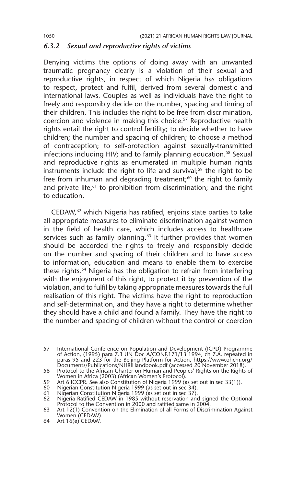#### *6.3.2 Sexual and reproductive rights of victims*

Denying victims the options of doing away with an unwanted traumatic pregnancy clearly is a violation of their sexual and reproductive rights, in respect of which Nigeria has obligations to respect, protect and fulfil, derived from several domestic and international laws. Couples as well as individuals have the right to freely and responsibly decide on the number, spacing and timing of their children. This includes the right to be free from discrimination, coercion and violence in making this choice.57 Reproductive health rights entail the right to control fertility; to decide whether to have children; the number and spacing of children; to choose a method of contraception; to self-protection against sexually-transmitted infections including HIV; and to family planning education.<sup>58</sup> Sexual and reproductive rights as enumerated in multiple human rights instruments include the right to life and survival;<sup>59</sup> the right to be free from inhuman and degrading treatment; $60$  the right to family and private life,<sup>61</sup> to prohibition from discrimination; and the right to education.

CEDAW,62 which Nigeria has ratified, enjoins state parties to take all appropriate measures to eliminate discrimination against women in the field of health care, which includes access to healthcare services such as family planning.<sup>63</sup> It further provides that women should be accorded the rights to freely and responsibly decide on the number and spacing of their children and to have access to information, education and means to enable them to exercise these rights.<sup>64</sup> Nigeria has the obligation to refrain from interfering with the enjoyment of this right, to protect it by prevention of the violation, and to fulfil by taking appropriate measures towards the full realisation of this right. The victims have the right to reproduction and self-determination, and they have a right to determine whether they should have a child and found a family. They have the right to the number and spacing of children without the control or coercion

<sup>57</sup> International Conference on Population and Development (ICPD) Programme of Action, (1995) para 7.3 UN Doc A/CONF.171/13 1994, ch 7.A. repeated in paras 95 and 223 for the Beijing Platform for Action, https://www.ohchr.org/ Documents/Publications/NHRIHandbook.pdf (accessed 20 November 2018).

<sup>58</sup> Protocol to the African Charter on Human and Peoples' Rights on the Rights of Women in Africa (2003) (African Women's Protocol).

<sup>59</sup> Art 6 ICCPR. See also Constitution of Nigeria 1999 (as set out in sec 33(1)).

<sup>60</sup> Nigerian Constitution Nigeria 1999 (as set out in sec 34).

<sup>61</sup> Nigerian Constitution Nigeria 1999 (as set out in sec 37). 62 Nigeria Ratified CEDAW in 1985 without reservation and signed the Optional Protocol to the Convention in 2000 and ratified same in 2004.

<sup>63</sup> Art 12(1) Convention on the Elimination of all Forms of Discrimination Against Women (CEDAW).

<sup>64</sup> Art 16(e) CEDAW.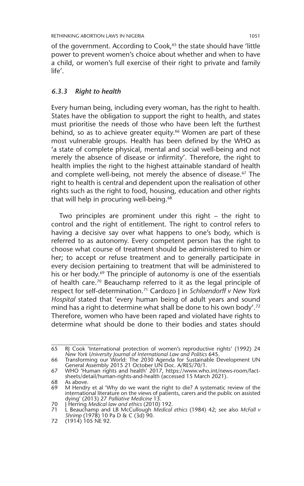of the government. According to Cook,<sup>65</sup> the state should have 'little power to prevent women's choice about whether and when to have a child, or women's full exercise of their right to private and family life'.

#### *6.3.3 Right to health*

Every human being, including every woman, has the right to health. States have the obligation to support the right to health, and states must prioritise the needs of those who have been left the furthest behind, so as to achieve greater equity.<sup>66</sup> Women are part of these most vulnerable groups. Health has been defined by the WHO as 'a state of complete physical, mental and social well-being and not merely the absence of disease or infirmity'. Therefore, the right to health implies the right to the highest attainable standard of health and complete well-being, not merely the absence of disease.<sup>67</sup> The right to health is central and dependent upon the realisation of other rights such as the right to food, housing, education and other rights that will help in procuring well-being.<sup>68</sup>

Two principles are prominent under this right – the right to control and the right of entitlement. The right to control refers to having a decisive say over what happens to one's body, which is referred to as autonomy. Every competent person has the right to choose what course of treatment should be administered to him or her; to accept or refuse treatment and to generally participate in every decision pertaining to treatment that will be administered to his or her body.<sup>69</sup> The principle of autonomy is one of the essentials of health care.<sup>70</sup> Beauchamp referred to it as the legal principle of respect for self-determination.71 Cardozo J in *Schloendorff v New York Hospital* stated that 'every human being of adult years and sound mind has a right to determine what shall be done to his own body'.<sup>72</sup> Therefore, women who have been raped and violated have rights to determine what should be done to their bodies and states should

<sup>65</sup> RJ Cook 'International protection of women's reproductive rights' (1992) 24 *New York University Journal of International Law and Politics* 645.

<sup>66</sup> Transforming our World: The 2030 Agenda for Sustainable Development UN General Assembly 2015 21 October UN Doc. A/RES/70/1.

<sup>67</sup> WHO 'Human rights and health' 2017, https://www.who.int/news-room/factsheets/detail/human-rights-and-health (accessed 15 March 2021).

<sup>68</sup> As above.<br>69 M Hendry

M Hendry et al 'Why do we want the right to die? A systematic review of the international literature on the views of patients, carers and the public on assisted dying' (2013) 27 *Palliative Medicine* 13. 70 J Herring *Medical law and ethics* (2010) 192.

<sup>71</sup> L Beauchamp and LB McCullough *Medical ethics* (1984) 42; see also *McFall v Shrimp* (1978) 10 Pa D & C (3d) 90.

<sup>72</sup> (1914) 105 NE 92.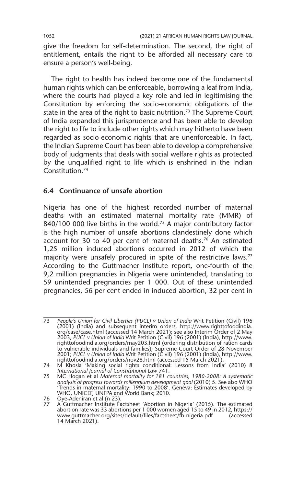give the freedom for self-determination. The second, the right of entitlement, entails the right to be afforded all necessary care to ensure a person's well-being.

The right to health has indeed become one of the fundamental human rights which can be enforceable, borrowing a leaf from India, where the courts had played a key role and led in legitimising the Constitution by enforcing the socio-economic obligations of the state in the area of the right to basic nutrition.<sup>73</sup> The Supreme Court of India expanded this jurisprudence and has been able to develop the right to life to include other rights which may hitherto have been regarded as socio-economic rights that are unenforceable. In fact, the Indian Supreme Court has been able to develop a comprehensive body of judgments that deals with social welfare rights as protected by the unqualified right to life which is enshrined in the Indian Constitution.74

#### **6.4 Continuance of unsafe abortion**

Nigeria has one of the highest recorded number of maternal deaths with an estimated maternal mortality rate (MMR) of 840/100 000 live births in the world.<sup>75</sup> A major contributory factor is the high number of unsafe abortions clandestinely done which account for 30 to 40 per cent of maternal deaths.<sup>76</sup> An estimated 1,25 million induced abortions occurred in 2012 of which the majority were unsafely procured in spite of the restrictive laws.<sup>77</sup> According to the Guttmacher Institute report, one-fourth of the 9,2 million pregnancies in Nigeria were unintended, translating to 59 unintended pregnancies per 1 000. Out of these unintended pregnancies, 56 per cent ended in induced abortion, 32 per cent in

<sup>73</sup> *People's Union for Civil Liberties (PUCL) v Union of India* Writ Petition (Civil) 196 (2001) (India) and subsequent interim orders, http://www.righttofoodindia. org/case/case.html (accessed 14 March 2021); see also Interim Order of 2 May 2003, *PUCL v Union of India* Writ Petition (Civil) 196 (2001) (India), http://www. righttofoodindia.org/orders/may203.html (ordering distribution of ration cards to vulnerable individuals and families); Supreme Court Order of 28 November 2001; *PUCL v Union of India* Writ Petition (Civil) 196 (2001) (India), http://www. righttofoodindia.org/orders/nov28.html (accessed 15 March 2021).

<sup>74</sup> M Khosla 'Making social rights conditional: Lessons from India' (2010) 8 *International Journal of Constitutional Law* 741.

<sup>75</sup> MC Hogan et al *Maternal mortality for 181 countries, 1980-2008: A systematic analysis of progress towards millennium development goal* (2010) 5. See also WHO 'Trends in maternal mortality: 1990 to 2008'. Geneva: Estimates developed by

WHO, UNICEF, UNFPA and World Bank; 2010. 76 Oye-Adeniran et al (n 23). 77 A Guttmacher Institute Factsheet 'Abortion in Nigeria' (2015). The estimated abortion rate was 33 abortions per 1 000 women aged 15 to 49 in 2012, https:// www.guttmacher.org/sites/default/files/factsheet/fb-nigeria.pdf (accessed 14 March 2021).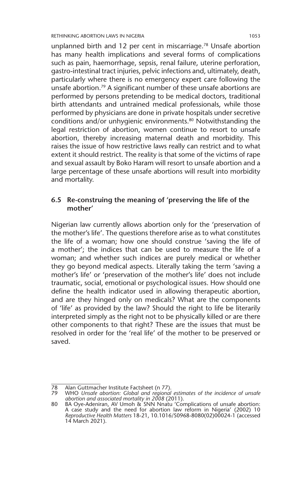unplanned birth and 12 per cent in miscarriage.78 Unsafe abortion has many health implications and several forms of complications such as pain, haemorrhage, sepsis, renal failure, uterine perforation, gastro-intestinal tract injuries, pelvic infections and, ultimately, death, particularly where there is no emergency expert care following the unsafe abortion.<sup>79</sup> A significant number of these unsafe abortions are performed by persons pretending to be medical doctors, traditional birth attendants and untrained medical professionals, while those performed by physicians are done in private hospitals under secretive conditions and/or unhygienic environments.<sup>80</sup> Notwithstanding the legal restriction of abortion, women continue to resort to unsafe abortion, thereby increasing maternal death and morbidity. This raises the issue of how restrictive laws really can restrict and to what extent it should restrict. The reality is that some of the victims of rape and sexual assault by Boko Haram will resort to unsafe abortion and a large percentage of these unsafe abortions will result into morbidity and mortality.

#### **6.5 Re-construing the meaning of 'preserving the life of the mother'**

Nigerian law currently allows abortion only for the 'preservation of the mother's life'. The questions therefore arise as to what constitutes the life of a woman; how one should construe 'saving the life of a mother'; the indices that can be used to measure the life of a woman; and whether such indices are purely medical or whether they go beyond medical aspects. Literally taking the term 'saving a mother's life' or 'preservation of the mother's life' does not include traumatic, social, emotional or psychological issues. How should one define the health indicator used in allowing therapeutic abortion, and are they hinged only on medicals? What are the components of 'life' as provided by the law? Should the right to life be literarily interpreted simply as the right not to be physically killed or are there other components to that right? These are the issues that must be resolved in order for the 'real life' of the mother to be preserved or saved.

<sup>78</sup> Alan Guttmacher Institute Factsheet (n 77).

<sup>79</sup> WHO *Unsafe abortion: Global and regional estimates of the incidence of unsafe abortion and associated mortality in 2008* (2011). 80 BA Oye-Adeniran, AV Umoh & SNN Nnatu 'Complications of unsafe abortion:

A case study and the need for abortion law reform in Nigeria' (2002) 10 *Reproductive Health Matters* 18-21, 10.1016/S0968-8080(02)00024-1 (accessed 14 March 2021).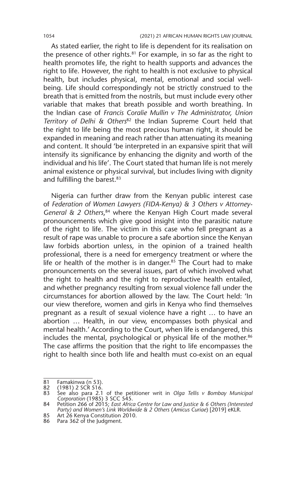As stated earlier, the right to life is dependent for its realisation on the presence of other rights.<sup>81</sup> For example, in so far as the right to health promotes life, the right to health supports and advances the right to life. However, the right to health is not exclusive to physical health, but includes physical, mental, emotional and social wellbeing. Life should correspondingly not be strictly construed to the breath that is emitted from the nostrils, but must include every other variable that makes that breath possible and worth breathing. In the Indian case of *Francis Coralie Mullin v The Administrator, Union Territory of Delhi & Others*82 the Indian Supreme Court held that the right to life being the most precious human right, it should be expanded in meaning and reach rather than attenuating its meaning and content. It should 'be interpreted in an expansive spirit that will intensify its significance by enhancing the dignity and worth of the individual and his life'. The Court stated that human life is not merely animal existence or physical survival, but includes living with dignity and fulfilling the barest.<sup>83</sup>

Nigeria can further draw from the Kenyan public interest case of *Federation of Women Lawyers (FIDA-Kenya) & 3 Others v Attorney-General & 2 Others*, 84 where the Kenyan High Court made several pronouncements which give good insight into the parasitic nature of the right to life. The victim in this case who fell pregnant as a result of rape was unable to procure a safe abortion since the Kenyan law forbids abortion unless, in the opinion of a trained health professional, there is a need for emergency treatment or where the life or health of the mother is in danger. $85$  The Court had to make pronouncements on the several issues, part of which involved what the right to health and the right to reproductive health entailed, and whether pregnancy resulting from sexual violence fall under the circumstances for abortion allowed by the law. The Court held: 'In our view therefore, women and girls in Kenya who find themselves pregnant as a result of sexual violence have a right … to have an abortion … Health, in our view, encompasses both physical and mental health.' According to the Court, when life is endangered, this includes the mental, psychological or physical life of the mother.<sup>86</sup> The case affirms the position that the right to life encompasses the right to health since both life and health must co-exist on an equal

<sup>81</sup> Famakinwa (n 53).

<sup>82</sup> (1981) 2 SCR 516.

<sup>83</sup> See also para 2.1 of the petitioner writ in *Olga Tellis v Bombay Municipal Corporation* (1985) 3 SCC 545. 84 Petition 266 of 2015; *East Africa Centre for Law and Justice & 6 Others (Interested* 

*Party) and Women's Link Worldwide & 2 Others* (*Amicus Curiae*) [2019] eKLR.

<sup>85</sup> Art 26 Kenya Constitution 2010.

<sup>86</sup> Para 362 of the Judgment.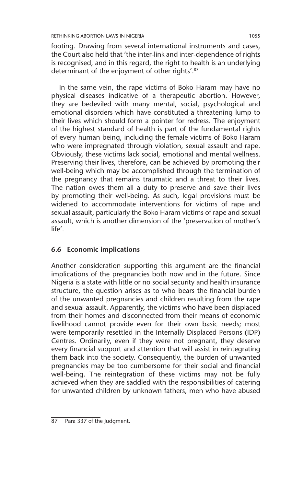footing. Drawing from several international instruments and cases, the Court also held that 'the inter-link and inter-dependence of rights is recognised, and in this regard, the right to health is an underlying determinant of the enjoyment of other rights'.87

In the same vein, the rape victims of Boko Haram may have no physical diseases indicative of a therapeutic abortion. However, they are bedeviled with many mental, social, psychological and emotional disorders which have constituted a threatening lump to their lives which should form a pointer for redress. The enjoyment of the highest standard of health is part of the fundamental rights of every human being, including the female victims of Boko Haram who were impregnated through violation, sexual assault and rape. Obviously, these victims lack social, emotional and mental wellness. Preserving their lives, therefore, can be achieved by promoting their well-being which may be accomplished through the termination of the pregnancy that remains traumatic and a threat to their lives. The nation owes them all a duty to preserve and save their lives by promoting their well-being. As such, legal provisions must be widened to accommodate interventions for victims of rape and sexual assault, particularly the Boko Haram victims of rape and sexual assault, which is another dimension of the 'preservation of mother's life'.

#### **6.6 Economic implications**

Another consideration supporting this argument are the financial implications of the pregnancies both now and in the future. Since Nigeria is a state with little or no social security and health insurance structure, the question arises as to who bears the financial burden of the unwanted pregnancies and children resulting from the rape and sexual assault. Apparently, the victims who have been displaced from their homes and disconnected from their means of economic livelihood cannot provide even for their own basic needs; most were temporarily resettled in the Internally Displaced Persons (IDP) Centres. Ordinarily, even if they were not pregnant, they deserve every financial support and attention that will assist in reintegrating them back into the society. Consequently, the burden of unwanted pregnancies may be too cumbersome for their social and financial well-being. The reintegration of these victims may not be fully achieved when they are saddled with the responsibilities of catering for unwanted children by unknown fathers, men who have abused

<sup>87</sup> Para 337 of the Judgment.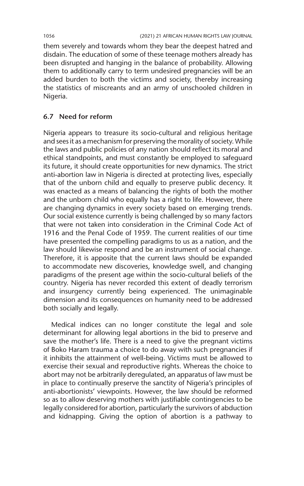them severely and towards whom they bear the deepest hatred and disdain. The education of some of these teenage mothers already has been disrupted and hanging in the balance of probability. Allowing them to additionally carry to term undesired pregnancies will be an added burden to both the victims and society, thereby increasing the statistics of miscreants and an army of unschooled children in Nigeria.

#### **6.7 Need for reform**

Nigeria appears to treasure its socio-cultural and religious heritage and sees it as a mechanism for preserving the morality of society. While the laws and public policies of any nation should reflect its moral and ethical standpoints, and must constantly be employed to safeguard its future, it should create opportunities for new dynamics. The strict anti-abortion law in Nigeria is directed at protecting lives, especially that of the unborn child and equally to preserve public decency. It was enacted as a means of balancing the rights of both the mother and the unborn child who equally has a right to life. However, there are changing dynamics in every society based on emerging trends. Our social existence currently is being challenged by so many factors that were not taken into consideration in the Criminal Code Act of 1916 and the Penal Code of 1959. The current realities of our time have presented the compelling paradigms to us as a nation, and the law should likewise respond and be an instrument of social change. Therefore, it is apposite that the current laws should be expanded to accommodate new discoveries, knowledge swell, and changing paradigms of the present age within the socio-cultural beliefs of the country. Nigeria has never recorded this extent of deadly terrorism and insurgency currently being experienced. The unimaginable dimension and its consequences on humanity need to be addressed both socially and legally.

Medical indices can no longer constitute the legal and sole determinant for allowing legal abortions in the bid to preserve and save the mother's life. There is a need to give the pregnant victims of Boko Haram trauma a choice to do away with such pregnancies if it inhibits the attainment of well-being. Victims must be allowed to exercise their sexual and reproductive rights. Whereas the choice to abort may not be arbitrarily deregulated, an apparatus of law must be in place to continually preserve the sanctity of Nigeria's principles of anti-abortionists' viewpoints. However, the law should be reformed so as to allow deserving mothers with justifiable contingencies to be legally considered for abortion, particularly the survivors of abduction and kidnapping. Giving the option of abortion is a pathway to